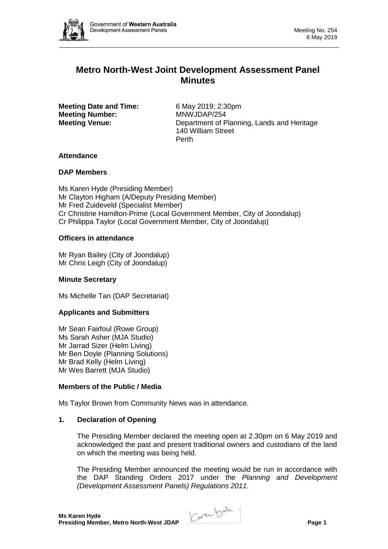

# **Metro North-West Joint Development Assessment Panel Minutes**

**Meeting Date and Time:** 6 May 2019; 2:30pm **Meeting Number:** MNWJDAP/254

**Meeting Venue:** Department of Planning, Lands and Heritage 140 William Street Perth

# **Attendance**

# **DAP Members**

Ms Karen Hyde (Presiding Member) Mr Clayton Higham (A/Deputy Presiding Member) Mr Fred Zuideveld (Specialist Member) Cr Christine Hamilton-Prime (Local Government Member, City of Joondalup) Cr Philippa Taylor (Local Government Member, City of Joondalup)

# **Officers in attendance**

Mr Ryan Bailey (City of Joondalup) Mr Chris Leigh (City of Joondalup)

# **Minute Secretary**

Ms Michelle Tan (DAP Secretariat)

# **Applicants and Submitters**

Mr Sean Fairfoul (Rowe Group) Ms Sarah Asher (MJA Studio) Mr Jarrad Sizer (Helm Living) Mr Ben Doyle (Planning Solutions) Mr Brad Kelly (Helm Living) Mr Wes Barrett (MJA Studio)

# **Members of the Public / Media**

Ms Taylor Brown from Community News was in attendance.

## **1. Declaration of Opening**

The Presiding Member declared the meeting open at 2.30pm on 6 May 2019 and acknowledged the past and present traditional owners and custodians of the land on which the meeting was being held.

The Presiding Member announced the meeting would be run in accordance with the DAP Standing Orders 2017 under the *Planning and Development (Development Assessment Panels) Regulations 2011*.

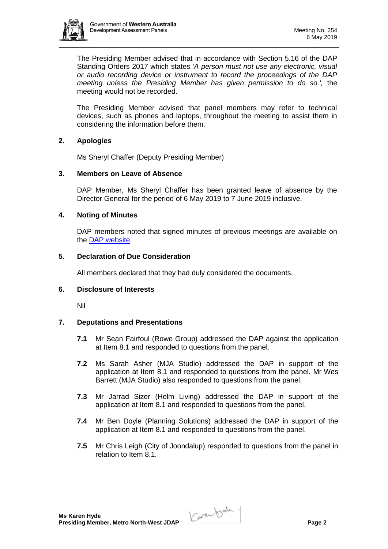

The Presiding Member advised that in accordance with Section 5.16 of the DAP Standing Orders 2017 which states *'A person must not use any electronic, visual or audio recording device or instrument to record the proceedings of the DAP meeting unless the Presiding Member has given permission to do so.',* the meeting would not be recorded.

The Presiding Member advised that panel members may refer to technical devices, such as phones and laptops, throughout the meeting to assist them in considering the information before them.

## **2. Apologies**

Ms Sheryl Chaffer (Deputy Presiding Member)

## **3. Members on Leave of Absence**

DAP Member, Ms Sheryl Chaffer has been granted leave of absence by the Director General for the period of 6 May 2019 to 7 June 2019 inclusive.

#### **4. Noting of Minutes**

DAP members noted that signed minutes of previous meetings are available on the [DAP website.](https://www.dplh.wa.gov.au/about/development-assessment-panels/daps-agendas-and-minutes)

## **5. Declaration of Due Consideration**

All members declared that they had duly considered the documents.

#### **6. Disclosure of Interests**

Nil

## **7. Deputations and Presentations**

- **7.1** Mr Sean Fairfoul (Rowe Group) addressed the DAP against the application at Item 8.1 and responded to questions from the panel.
- **7.2** Ms Sarah Asher (MJA Studio) addressed the DAP in support of the application at Item 8.1 and responded to questions from the panel. Mr Wes Barrett (MJA Studio) also responded to questions from the panel.
- **7.3** Mr Jarrad Sizer (Helm Living) addressed the DAP in support of the application at Item 8.1 and responded to questions from the panel.
- **7.4** Mr Ben Doyle (Planning Solutions) addressed the DAP in support of the application at Item 8.1 and responded to questions from the panel.
- **7.5** Mr Chris Leigh (City of Joondalup) responded to questions from the panel in relation to Item 8.1.

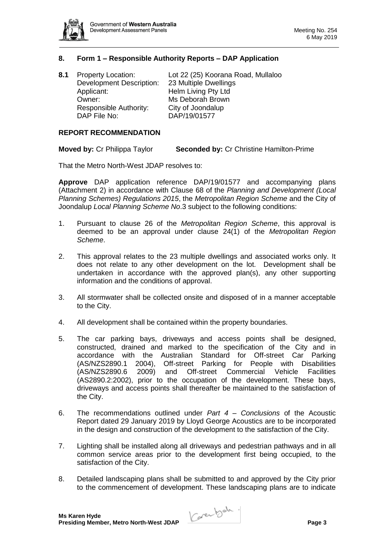

## **8. Form 1 – Responsible Authority Reports – DAP Application**

| 8.1 | <b>Property Location:</b>       | Lot 22 (25) Koorana Road, Mullaloo |
|-----|---------------------------------|------------------------------------|
|     | <b>Development Description:</b> | 23 Multiple Dwellings              |
|     | Applicant:                      | Helm Living Pty Ltd                |
|     | Owner:                          | Ms Deborah Brown                   |
|     | Responsible Authority:          | City of Joondalup                  |
|     | DAP File No:                    | DAP/19/01577                       |
|     |                                 |                                    |

#### **REPORT RECOMMENDATION**

**Moved by:** Cr Philippa Taylor **Seconded by:** Cr Christine Hamilton-Prime

That the Metro North-West JDAP resolves to:

**Approve** DAP application reference DAP/19/01577 and accompanying plans (Attachment 2) in accordance with Clause 68 of the *Planning and Development (Local Planning Schemes) Regulations 2015*, the *Metropolitan Region Scheme* and the City of Joondalup *Local Planning Scheme No*.3 subject to the following conditions:

- 1. Pursuant to clause 26 of the *Metropolitan Region Scheme*, this approval is deemed to be an approval under clause 24(1) of the *Metropolitan Region Scheme*.
- 2. This approval relates to the 23 multiple dwellings and associated works only. It does not relate to any other development on the lot. Development shall be undertaken in accordance with the approved plan(s), any other supporting information and the conditions of approval.
- 3. All stormwater shall be collected onsite and disposed of in a manner acceptable to the City.
- 4. All development shall be contained within the property boundaries.
- 5. The car parking bays, driveways and access points shall be designed, constructed, drained and marked to the specification of the City and in accordance with the Australian Standard for Off-street Car Parking (AS/NZS2890.1 2004), Off-street Parking for People with Disabilities (AS/NZS2890.6 2009) and Off-street Commercial Vehicle Facilities (AS2890.2:2002), prior to the occupation of the development. These bays, driveways and access points shall thereafter be maintained to the satisfaction of the City.
- 6. The recommendations outlined under *Part 4 – Conclusions* of the Acoustic Report dated 29 January 2019 by Lloyd George Acoustics are to be incorporated in the design and construction of the development to the satisfaction of the City.
- 7. Lighting shall be installed along all driveways and pedestrian pathways and in all common service areas prior to the development first being occupied, to the satisfaction of the City.
- 8. Detailed landscaping plans shall be submitted to and approved by the City prior to the commencement of development. These landscaping plans are to indicate

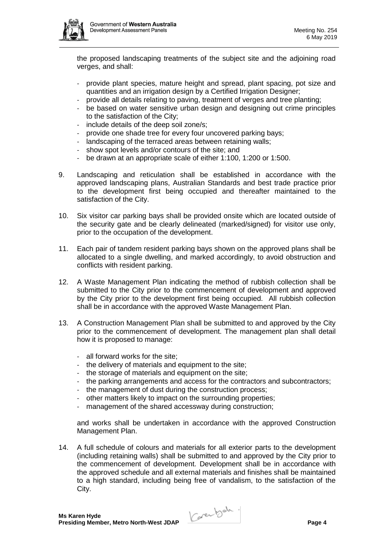

the proposed landscaping treatments of the subject site and the adjoining road verges, and shall:

- provide plant species, mature height and spread, plant spacing, pot size and quantities and an irrigation design by a Certified Irrigation Designer;
- provide all details relating to paving, treatment of verges and tree planting;
- be based on water sensitive urban design and designing out crime principles to the satisfaction of the City;
- include details of the deep soil zone/s;
- provide one shade tree for every four uncovered parking bays;
- landscaping of the terraced areas between retaining walls;
- show spot levels and/or contours of the site; and
- be drawn at an appropriate scale of either 1:100, 1:200 or 1:500.
- 9. Landscaping and reticulation shall be established in accordance with the approved landscaping plans, Australian Standards and best trade practice prior to the development first being occupied and thereafter maintained to the satisfaction of the City.
- 10. Six visitor car parking bays shall be provided onsite which are located outside of the security gate and be clearly delineated (marked/signed) for visitor use only, prior to the occupation of the development.
- 11. Each pair of tandem resident parking bays shown on the approved plans shall be allocated to a single dwelling, and marked accordingly, to avoid obstruction and conflicts with resident parking.
- 12. A Waste Management Plan indicating the method of rubbish collection shall be submitted to the City prior to the commencement of development and approved by the City prior to the development first being occupied. All rubbish collection shall be in accordance with the approved Waste Management Plan.
- 13. A Construction Management Plan shall be submitted to and approved by the City prior to the commencement of development. The management plan shall detail how it is proposed to manage:
	- all forward works for the site;
	- the delivery of materials and equipment to the site;
	- the storage of materials and equipment on the site;
	- the parking arrangements and access for the contractors and subcontractors;
	- the management of dust during the construction process;
	- other matters likely to impact on the surrounding properties;
	- management of the shared accessway during construction:

and works shall be undertaken in accordance with the approved Construction Management Plan.

14. A full schedule of colours and materials for all exterior parts to the development (including retaining walls) shall be submitted to and approved by the City prior to the commencement of development. Development shall be in accordance with the approved schedule and all external materials and finishes shall be maintained to a high standard, including being free of vandalism, to the satisfaction of the City.

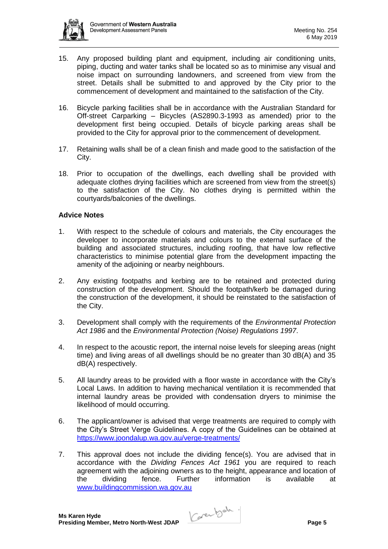

- 15. Any proposed building plant and equipment, including air conditioning units, piping, ducting and water tanks shall be located so as to minimise any visual and noise impact on surrounding landowners, and screened from view from the street. Details shall be submitted to and approved by the City prior to the commencement of development and maintained to the satisfaction of the City.
- 16. Bicycle parking facilities shall be in accordance with the Australian Standard for Off-street Carparking – Bicycles (AS2890.3-1993 as amended) prior to the development first being occupied. Details of bicycle parking areas shall be provided to the City for approval prior to the commencement of development.
- 17. Retaining walls shall be of a clean finish and made good to the satisfaction of the City.
- 18. Prior to occupation of the dwellings, each dwelling shall be provided with adequate clothes drying facilities which are screened from view from the street(s) to the satisfaction of the City. No clothes drying is permitted within the courtyards/balconies of the dwellings.

## **Advice Notes**

- 1. With respect to the schedule of colours and materials, the City encourages the developer to incorporate materials and colours to the external surface of the building and associated structures, including roofing, that have low reflective characteristics to minimise potential glare from the development impacting the amenity of the adjoining or nearby neighbours.
- 2. Any existing footpaths and kerbing are to be retained and protected during construction of the development. Should the footpath/kerb be damaged during the construction of the development, it should be reinstated to the satisfaction of the City.
- 3. Development shall comply with the requirements of the *Environmental Protection Act 1986* and the *Environmental Protection (Noise) Regulations 1997*.
- 4. In respect to the acoustic report, the internal noise levels for sleeping areas (night time) and living areas of all dwellings should be no greater than 30 dB(A) and 35 dB(A) respectively.
- 5. All laundry areas to be provided with a floor waste in accordance with the City's Local Laws. In addition to having mechanical ventilation it is recommended that internal laundry areas be provided with condensation dryers to minimise the likelihood of mould occurring.
- 6. The applicant/owner is advised that verge treatments are required to comply with the City's Street Verge Guidelines. A copy of the Guidelines can be obtained at <https://www.joondalup.wa.gov.au/verge-treatments/>
- 7. This approval does not include the dividing fence(s). You are advised that in accordance with the *Dividing Fences Act 1961* you are required to reach agreement with the adjoining owners as to the height, appearance and location of the dividing fence. Further information is available at [www.buildingcommission.wa.gov.au](http://www.buildingcommission.wa.gov.au/)

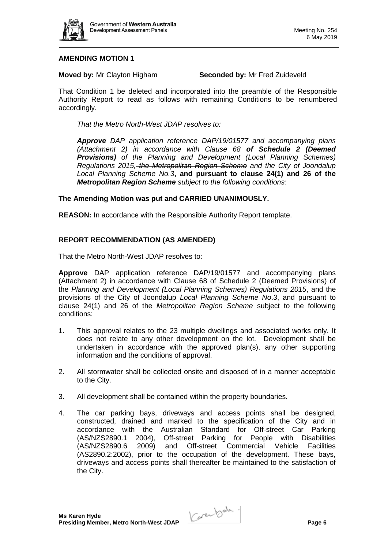

## **AMENDING MOTION 1**

**Moved by:** Mr Clayton Higham **Seconded by:** Mr Fred Zuideveld

That Condition 1 be deleted and incorporated into the preamble of the Responsible Authority Report to read as follows with remaining Conditions to be renumbered accordingly.

*That the Metro North-West JDAP resolves to:*

*Approve DAP application reference DAP/19/01577 and accompanying plans (Attachment 2) in accordance with Clause 68 of Schedule 2 (Deemed Provisions) of the Planning and Development (Local Planning Schemes) Regulations 2015, the Metropolitan Region Scheme and the City of Joondalup Local Planning Scheme No.3***, and pursuant to clause 24(1) and 26 of the**  *Metropolitan Region Scheme subject to the following conditions:*

## **The Amending Motion was put and CARRIED UNANIMOUSLY.**

**REASON:** In accordance with the Responsible Authority Report template.

#### **REPORT RECOMMENDATION (AS AMENDED)**

That the Metro North-West JDAP resolves to:

**Approve** DAP application reference DAP/19/01577 and accompanying plans (Attachment 2) in accordance with Clause 68 of Schedule 2 (Deemed Provisions) of the *Planning and Development (Local Planning Schemes) Regulations 2015*, and the provisions of the City of Joondalup *Local Planning Scheme No*.*3*, and pursuant to clause 24(1) and 26 of the *Metropolitan Region Scheme* subject to the following conditions:

- 1. This approval relates to the 23 multiple dwellings and associated works only. It does not relate to any other development on the lot. Development shall be undertaken in accordance with the approved plan(s), any other supporting information and the conditions of approval.
- 2. All stormwater shall be collected onsite and disposed of in a manner acceptable to the City.
- 3. All development shall be contained within the property boundaries.
- 4. The car parking bays, driveways and access points shall be designed, constructed, drained and marked to the specification of the City and in accordance with the Australian Standard for Off-street Car Parking (AS/NZS2890.1 2004), Off-street Parking for People with Disabilities (AS/NZS2890.6 2009) and Off-street Commercial Vehicle Facilities (AS2890.2:2002), prior to the occupation of the development. These bays, driveways and access points shall thereafter be maintained to the satisfaction of the City.

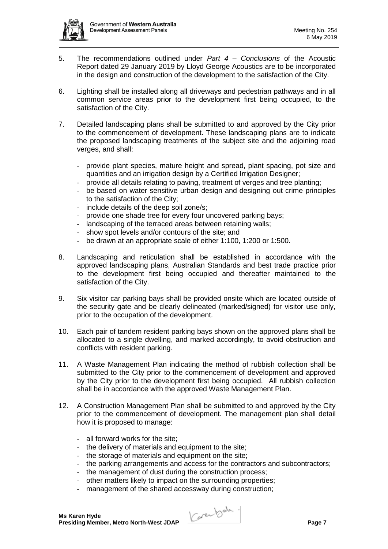

- 5. The recommendations outlined under *Part 4 – Conclusions* of the Acoustic Report dated 29 January 2019 by Lloyd George Acoustics are to be incorporated in the design and construction of the development to the satisfaction of the City.
- 6. Lighting shall be installed along all driveways and pedestrian pathways and in all common service areas prior to the development first being occupied, to the satisfaction of the City.
- 7. Detailed landscaping plans shall be submitted to and approved by the City prior to the commencement of development. These landscaping plans are to indicate the proposed landscaping treatments of the subject site and the adjoining road verges, and shall:
	- provide plant species, mature height and spread, plant spacing, pot size and quantities and an irrigation design by a Certified Irrigation Designer;
	- provide all details relating to paving, treatment of verges and tree planting;
	- be based on water sensitive urban design and designing out crime principles to the satisfaction of the City;
	- include details of the deep soil zone/s;
	- provide one shade tree for every four uncovered parking bays;
	- landscaping of the terraced areas between retaining walls;
	- show spot levels and/or contours of the site; and
	- be drawn at an appropriate scale of either 1:100, 1:200 or 1:500.
- 8. Landscaping and reticulation shall be established in accordance with the approved landscaping plans, Australian Standards and best trade practice prior to the development first being occupied and thereafter maintained to the satisfaction of the City.
- 9. Six visitor car parking bays shall be provided onsite which are located outside of the security gate and be clearly delineated (marked/signed) for visitor use only, prior to the occupation of the development.
- 10. Each pair of tandem resident parking bays shown on the approved plans shall be allocated to a single dwelling, and marked accordingly, to avoid obstruction and conflicts with resident parking.
- 11. A Waste Management Plan indicating the method of rubbish collection shall be submitted to the City prior to the commencement of development and approved by the City prior to the development first being occupied. All rubbish collection shall be in accordance with the approved Waste Management Plan.
- 12. A Construction Management Plan shall be submitted to and approved by the City prior to the commencement of development. The management plan shall detail how it is proposed to manage:
	- all forward works for the site;
	- the delivery of materials and equipment to the site;
	- the storage of materials and equipment on the site;
	- the parking arrangements and access for the contractors and subcontractors;
	- the management of dust during the construction process;
	- other matters likely to impact on the surrounding properties;
	- management of the shared accessway during construction;

**Ms Karen Hyde Ms Karen Hyde**<br>Presiding Member, Metro North-West JDAP **Page 7**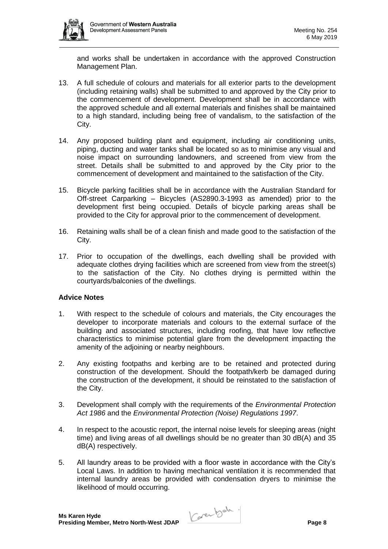

and works shall be undertaken in accordance with the approved Construction Management Plan.

- 13. A full schedule of colours and materials for all exterior parts to the development (including retaining walls) shall be submitted to and approved by the City prior to the commencement of development. Development shall be in accordance with the approved schedule and all external materials and finishes shall be maintained to a high standard, including being free of vandalism, to the satisfaction of the City.
- 14. Any proposed building plant and equipment, including air conditioning units, piping, ducting and water tanks shall be located so as to minimise any visual and noise impact on surrounding landowners, and screened from view from the street. Details shall be submitted to and approved by the City prior to the commencement of development and maintained to the satisfaction of the City.
- 15. Bicycle parking facilities shall be in accordance with the Australian Standard for Off-street Carparking – Bicycles (AS2890.3-1993 as amended) prior to the development first being occupied. Details of bicycle parking areas shall be provided to the City for approval prior to the commencement of development.
- 16. Retaining walls shall be of a clean finish and made good to the satisfaction of the City.
- 17. Prior to occupation of the dwellings, each dwelling shall be provided with adequate clothes drying facilities which are screened from view from the street(s) to the satisfaction of the City. No clothes drying is permitted within the courtyards/balconies of the dwellings.

## **Advice Notes**

- 1. With respect to the schedule of colours and materials, the City encourages the developer to incorporate materials and colours to the external surface of the building and associated structures, including roofing, that have low reflective characteristics to minimise potential glare from the development impacting the amenity of the adjoining or nearby neighbours.
- 2. Any existing footpaths and kerbing are to be retained and protected during construction of the development. Should the footpath/kerb be damaged during the construction of the development, it should be reinstated to the satisfaction of the City.
- 3. Development shall comply with the requirements of the *Environmental Protection Act 1986* and the *Environmental Protection (Noise) Regulations 1997*.
- 4. In respect to the acoustic report, the internal noise levels for sleeping areas (night time) and living areas of all dwellings should be no greater than 30 dB(A) and 35 dB(A) respectively.
- 5. All laundry areas to be provided with a floor waste in accordance with the City's Local Laws. In addition to having mechanical ventilation it is recommended that internal laundry areas be provided with condensation dryers to minimise the likelihood of mould occurring.